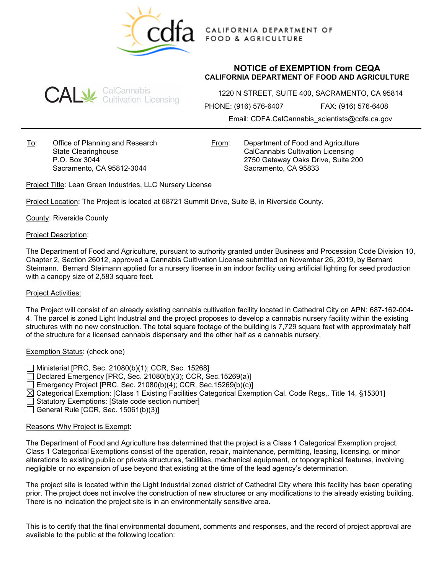

CALIFORNIA DEPARTMENT OF **FOOD & AGRICULTURE** 

## **NOTICE of EXEMPTION from CEQA CALIFORNIA DEPARTMENT OF FOOD AND AGRICULTURE**



1220 N STREET, SUITE 400, SACRAMENTO, CA 95814

PHONE: (916) 576-6407 FAX: (916) 576-6408

Email: CDFA.CalCannabis\_scientists@cdfa.ca.gov

To: Office of Planning and Research State Clearinghouse P.O. Box 3044 Sacramento, CA 95812-3044

From: Department of Food and Agriculture CalCannabis Cultivation Licensing 2750 Gateway Oaks Drive, Suite 200 Sacramento, CA 95833

Project Title: Lean Green Industries, LLC Nursery License

Project Location: The Project is located at 68721 Summit Drive, Suite B, in Riverside County.

County: Riverside County

### Project Description:

The Department of Food and Agriculture, pursuant to authority granted under Business and Procession Code Division 10, Chapter 2, Section 26012, approved a Cannabis Cultivation License submitted on November 26, 2019, by Bernard Steimann. Bernard Steimann applied for a nursery license in an indoor facility using artificial lighting for seed production with a canopy size of 2,583 square feet.

### Project Activities:

The Project will consist of an already existing cannabis cultivation facility located in Cathedral City on APN: 687-162-004- 4. The parcel is zoned Light Industrial and the project proposes to develop a cannabis nursery facility within the existing structures with no new construction. The total square footage of the building is 7,729 square feet with approximately half of the structure for a licensed cannabis dispensary and the other half as a cannabis nursery.

## Exemption Status: (check one)

Ministerial [PRC, Sec. 21080(b)(1); CCR, Sec. 15268]  $\Box$  Declared Emergency [PRC, Sec. 21080(b)(3); CCR, Sec. 15269(a)] Emergency Project [PRC, Sec. 21080(b)(4); CCR, Sec.15269(b)(c)]  $\boxtimes$  Categorical Exemption: [Class 1 Existing Facilities Categorical Exemption Cal. Code Regs, Title 14, §15301] Statutory Exemptions: [State code section number] General Rule [CCR, Sec.  $15061(b)(3)$ ]

### Reasons Why Project is Exempt:

The Department of Food and Agriculture has determined that the project is a Class 1 Categorical Exemption project. Class 1 Categorical Exemptions consist of the operation, repair, maintenance, permitting, leasing, licensing, or minor alterations to existing public or private structures, facilities, mechanical equipment, or topographical features, involving negligible or no expansion of use beyond that existing at the time of the lead agency's determination.

The project site is located within the Light Industrial zoned district of Cathedral City where this facility has been operating prior. The project does not involve the construction of new structures or any modifications to the already existing building. There is no indication the project site is in an environmentally sensitive area.

This is to certify that the final environmental document, comments and responses, and the record of project approval are available to the public at the following location: